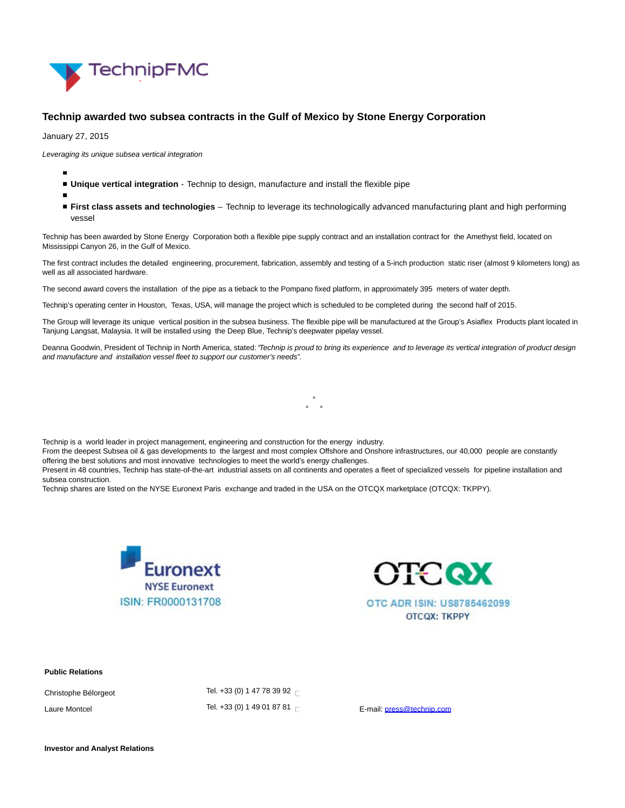

## **Technip awarded two subsea contracts in the Gulf of Mexico by Stone Energy Corporation**

January 27, 2015

Leveraging its unique subsea vertical integration

- **Unique vertical integration** Technip to design, manufacture and install the flexible pipe
- **First class assets and technologies** Technip to leverage its technologically advanced manufacturing plant and high performing vessel

Technip has been awarded by Stone Energy Corporation both a flexible pipe supply contract and an installation contract for the Amethyst field, located on Mississippi Canyon 26, in the Gulf of Mexico.

The first contract includes the detailed engineering, procurement, fabrication, assembly and testing of a 5-inch production static riser (almost 9 kilometers long) as well as all associated hardware.

The second award covers the installation of the pipe as a tieback to the Pompano fixed platform, in approximately 395 meters of water depth.

Technip's operating center in Houston, Texas, USA, will manage the project which is scheduled to be completed during the second half of 2015.

The Group will leverage its unique vertical position in the subsea business. The flexible pipe will be manufactured at the Group's Asiaflex Products plant located in Tanjung Langsat, Malaysia. It will be installed using the Deep Blue, Technip's deepwater pipelay vessel.

Deanna Goodwin, President of Technip in North America, stated: "Technip is proud to bring its experience and to leverage its vertical integration of product design and manufacture and installation vessel fleet to support our customer's needs".

> $\ddot{\phantom{0}}$  $\circ$   $\circ$

Technip is a world leader in project management, engineering and construction for the energy industry.

From the deepest Subsea oil & gas developments to the largest and most complex Offshore and Onshore infrastructures, our 40,000 people are constantly offering the best solutions and most innovative technologies to meet the world's energy challenges.

Present in 48 countries, Technip has state-of-the-art industrial assets on all continents and operates a fleet of specialized vessels for pipeline installation and subsea construction.

Technip shares are listed on the NYSE Euronext Paris exchange and traded in the USA on the OTCQX marketplace (OTCQX: TKPPY).





OTC ADR ISIN: US8785462099 **OTCQX: TKPPY** 

## **Public Relations**

Christophe Bélorgeot Tel. +33 (0) 1 47 78 39 9[2](file:///C:/Windows/Temp/ABCpdf/17e8f990-6750-49d3-8a7a-9464180708af.html#)  $\Box$ Laure Montcel the Control Tel. +33 (0) [1](file:///C:/Windows/Temp/ABCpdf/17e8f990-6750-49d3-8a7a-9464180708af.html#) 49 01 87 81 E Tel. +33 (0) 1 49 D1 87 81 E Tel. +13 DHz E-mail[: press@technip.com](mailto:press@technip.com)